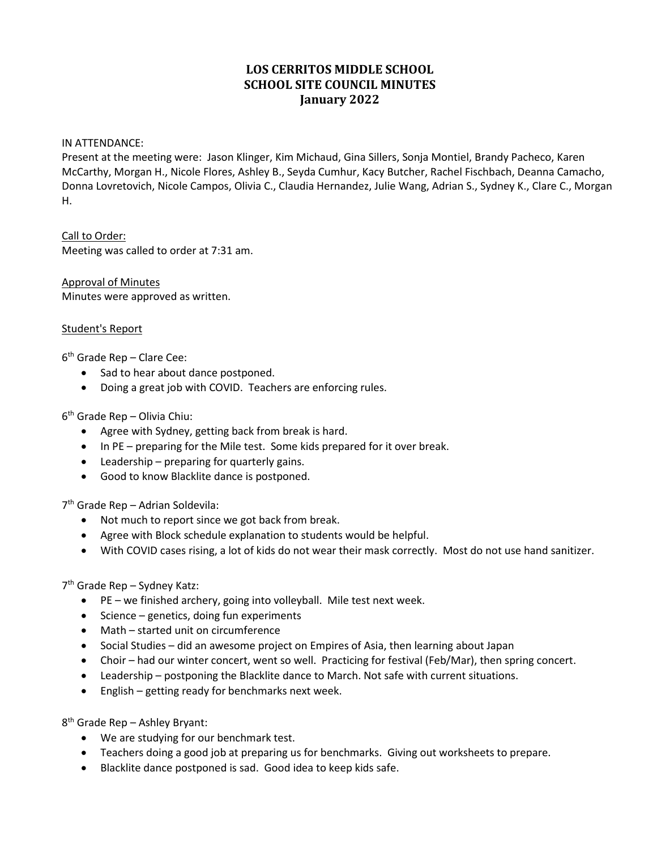# **LOS CERRITOS MIDDLE SCHOOL SCHOOL SITE COUNCIL MINUTES January 2022**

#### IN ATTENDANCE:

Present at the meeting were: Jason Klinger, Kim Michaud, Gina Sillers, Sonja Montiel, Brandy Pacheco, Karen McCarthy, Morgan H., Nicole Flores, Ashley B., Seyda Cumhur, Kacy Butcher, Rachel Fischbach, Deanna Camacho, Donna Lovretovich, Nicole Campos, Olivia C., Claudia Hernandez, Julie Wang, Adrian S., Sydney K., Clare C., Morgan H.

Call to Order: Meeting was called to order at 7:31 am.

Approval of Minutes Minutes were approved as written.

#### Student's Report

 $6<sup>th</sup>$  Grade Rep – Clare Cee:

- Sad to hear about dance postponed.
- Doing a great job with COVID. Teachers are enforcing rules.

6th Grade Rep – Olivia Chiu:

- Agree with Sydney, getting back from break is hard.
- In PE preparing for the Mile test. Some kids prepared for it over break.
- Leadership preparing for quarterly gains.
- Good to know Blacklite dance is postponed.

7th Grade Rep – Adrian Soldevila:

- Not much to report since we got back from break.
- Agree with Block schedule explanation to students would be helpful.
- With COVID cases rising, a lot of kids do not wear their mask correctly. Most do not use hand sanitizer.

7th Grade Rep – Sydney Katz:

- PE we finished archery, going into volleyball. Mile test next week.
- Science genetics, doing fun experiments
- Math started unit on circumference
- Social Studies did an awesome project on Empires of Asia, then learning about Japan
- Choir had our winter concert, went so well. Practicing for festival (Feb/Mar), then spring concert.
- Leadership postponing the Blacklite dance to March. Not safe with current situations.
- English getting ready for benchmarks next week.

8th Grade Rep – Ashley Bryant:

- We are studying for our benchmark test.
- Teachers doing a good job at preparing us for benchmarks. Giving out worksheets to prepare.
- Blacklite dance postponed is sad. Good idea to keep kids safe.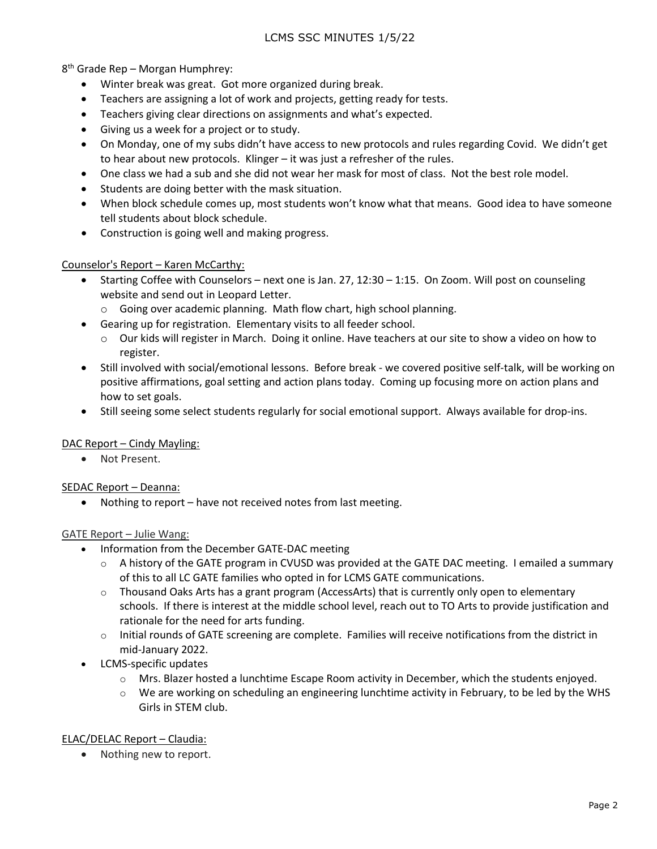8th Grade Rep – Morgan Humphrey:

- Winter break was great. Got more organized during break.
- Teachers are assigning a lot of work and projects, getting ready for tests.
- Teachers giving clear directions on assignments and what's expected.
- Giving us a week for a project or to study.
- On Monday, one of my subs didn't have access to new protocols and rules regarding Covid. We didn't get to hear about new protocols. Klinger – it was just a refresher of the rules.
- One class we had a sub and she did not wear her mask for most of class. Not the best role model.
- Students are doing better with the mask situation.
- When block schedule comes up, most students won't know what that means. Good idea to have someone tell students about block schedule.
- Construction is going well and making progress.

## Counselor's Report – Karen McCarthy:

- Starting Coffee with Counselors next one is Jan. 27, 12:30 1:15. On Zoom. Will post on counseling website and send out in Leopard Letter.
	- o Going over academic planning. Math flow chart, high school planning.
- Gearing up for registration. Elementary visits to all feeder school.
	- o Our kids will register in March. Doing it online. Have teachers at our site to show a video on how to register.
- Still involved with social/emotional lessons. Before break we covered positive self-talk, will be working on positive affirmations, goal setting and action plans today. Coming up focusing more on action plans and how to set goals.
- Still seeing some select students regularly for social emotional support. Always available for drop-ins.

## DAC Report – Cindy Mayling:

• Not Present.

## SEDAC Report – Deanna:

• Nothing to report – have not received notes from last meeting.

## GATE Report – Julie Wang:

- Information from the December GATE-DAC meeting
	- $\circ$  A history of the GATE program in CVUSD was provided at the GATE DAC meeting. I emailed a summary of this to all LC GATE families who opted in for LCMS GATE communications.
	- $\circ$  Thousand Oaks Arts has a grant program (AccessArts) that is currently only open to elementary schools. If there is interest at the middle school level, reach out to TO Arts to provide justification and rationale for the need for arts funding.
	- $\circ$  Initial rounds of GATE screening are complete. Families will receive notifications from the district in mid-January 2022.
- LCMS-specific updates
	- $\circ$  Mrs. Blazer hosted a lunchtime Escape Room activity in December, which the students enjoyed.
	- $\circ$  We are working on scheduling an engineering lunchtime activity in February, to be led by the WHS Girls in STEM club.

## ELAC/DELAC Report – Claudia:

• Nothing new to report.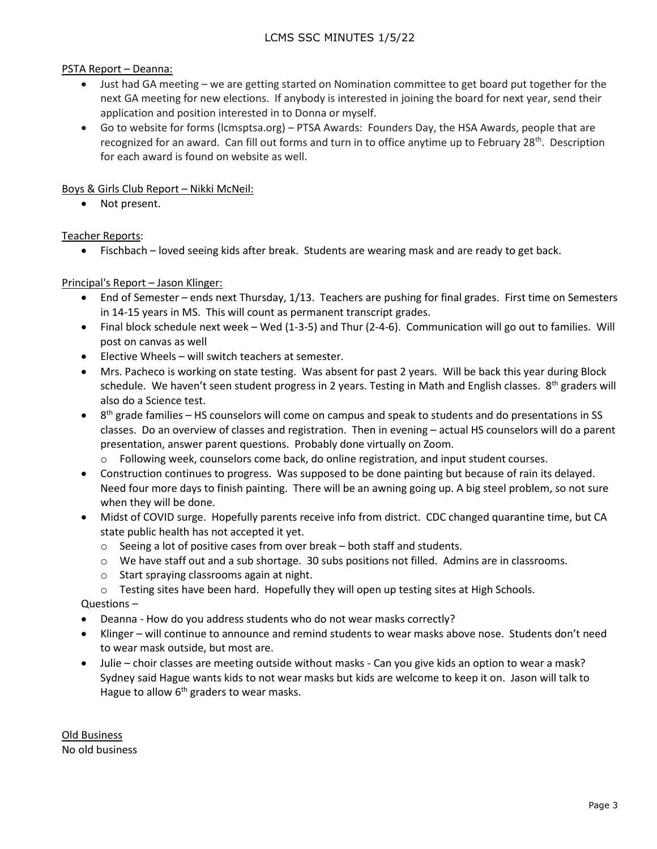PSTA Report – Deanna:

- Just had GA meeting we are getting started on Nomination committee to get board put together for the next GA meeting for new elections. If anybody is interested in joining the board for next year, send their application and position interested in to Donna or myself.
- Go to website for forms (lcmsptsa.org) PTSA Awards: Founders Day, the HSA Awards, people that are recognized for an award. Can fill out forms and turn in to office anytime up to February 28<sup>th</sup>. Description for each award is found on website as well.

Boys & Girls Club Report – Nikki McNeil:

• Not present.

Teacher Reports:

• Fischbach – loved seeing kids after break. Students are wearing mask and are ready to get back.

Principal's Report – Jason Klinger:

- End of Semester ends next Thursday, 1/13. Teachers are pushing for final grades. First time on Semesters in 14-15 years in MS. This will count as permanent transcript grades.
- Final block schedule next week Wed (1-3-5) and Thur (2-4-6). Communication will go out to families. Will post on canvas as well
- Elective Wheels will switch teachers at semester.
- Mrs. Pacheco is working on state testing. Was absent for past 2 years. Will be back this year during Block schedule. We haven't seen student progress in 2 years. Testing in Math and English classes. 8<sup>th</sup> graders will also do a Science test.
- $\bullet$  8<sup>th</sup> grade families HS counselors will come on campus and speak to students and do presentations in SS classes. Do an overview of classes and registration. Then in evening – actual HS counselors will do a parent presentation, answer parent questions. Probably done virtually on Zoom.
	- o Following week, counselors come back, do online registration, and input student courses.
- Construction continues to progress. Was supposed to be done painting but because of rain its delayed. Need four more days to finish painting. There will be an awning going up. A big steel problem, so not sure when they will be done.
- Midst of COVID surge. Hopefully parents receive info from district. CDC changed quarantine time, but CA state public health has not accepted it yet.
	- o Seeing a lot of positive cases from over break both staff and students.
	- o We have staff out and a sub shortage. 30 subs positions not filled. Admins are in classrooms.
	- o Start spraying classrooms again at night.
	- o Testing sites have been hard. Hopefully they will open up testing sites at High Schools.

Questions –

- Deanna How do you address students who do not wear masks correctly?
- Klinger will continue to announce and remind students to wear masks above nose. Students don't need to wear mask outside, but most are.
- Julie choir classes are meeting outside without masks Can you give kids an option to wear a mask? Sydney said Hague wants kids to not wear masks but kids are welcome to keep it on. Jason will talk to Hague to allow  $6<sup>th</sup>$  graders to wear masks.

Old Business No old business